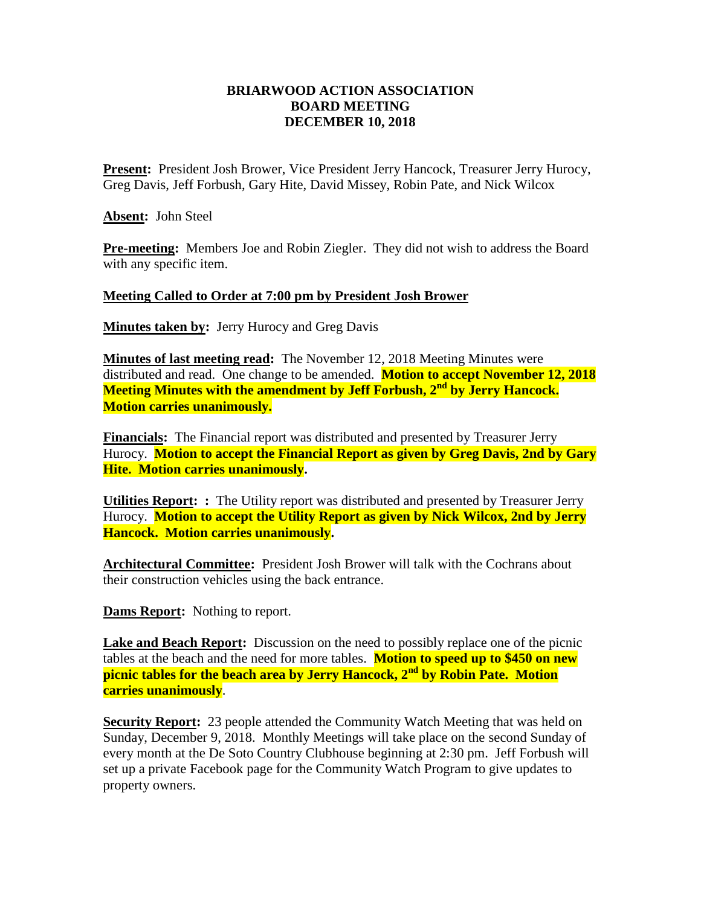## **BRIARWOOD ACTION ASSOCIATION BOARD MEETING DECEMBER 10, 2018**

Present: President Josh Brower, Vice President Jerry Hancock, Treasurer Jerry Hurocy, Greg Davis, Jeff Forbush, Gary Hite, David Missey, Robin Pate, and Nick Wilcox

**Absent:** John Steel

**Pre-meeting:** Members Joe and Robin Ziegler. They did not wish to address the Board with any specific item.

## **Meeting Called to Order at 7:00 pm by President Josh Brower**

**Minutes taken by:** Jerry Hurocy and Greg Davis

**Minutes of last meeting read:** The November 12, 2018 Meeting Minutes were distributed and read. One change to be amended. **Motion to accept November 12, 2018 Meeting Minutes with the amendment by Jeff Forbush, 2nd by Jerry Hancock. Motion carries unanimously.**

**Financials:** The Financial report was distributed and presented by Treasurer Jerry Hurocy. **Motion to accept the Financial Report as given by Greg Davis, 2nd by Gary Hite. Motion carries unanimously.** 

**Utilities Report: :** The Utility report was distributed and presented by Treasurer Jerry Hurocy. **Motion to accept the Utility Report as given by Nick Wilcox, 2nd by Jerry Hancock. Motion carries unanimously.** 

**Architectural Committee:** President Josh Brower will talk with the Cochrans about their construction vehicles using the back entrance.

**Dams Report:** Nothing to report.

**Lake and Beach Report:** Discussion on the need to possibly replace one of the picnic tables at the beach and the need for more tables. **Motion to speed up to \$450 on new picnic tables for the beach area by Jerry Hancock, 2nd by Robin Pate. Motion carries unanimously**.

**Security Report:** 23 people attended the Community Watch Meeting that was held on Sunday, December 9, 2018. Monthly Meetings will take place on the second Sunday of every month at the De Soto Country Clubhouse beginning at 2:30 pm. Jeff Forbush will set up a private Facebook page for the Community Watch Program to give updates to property owners.